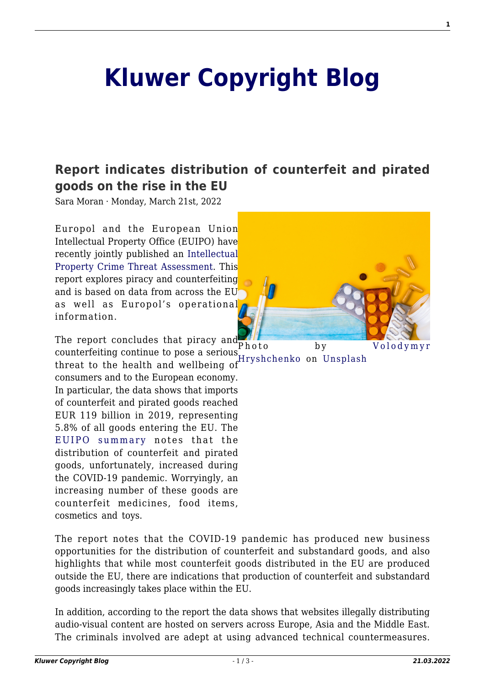## **[Kluwer Copyright Blog](http://copyrightblog.kluweriplaw.com/)**

## **[Report indicates distribution of counterfeit and pirated](http://copyrightblog.kluweriplaw.com/2022/03/21/report-indicates-distribution-of-counterfeit-and-pirated-goods-on-the-rise-in-the-eu/) [goods on the rise in the EU](http://copyrightblog.kluweriplaw.com/2022/03/21/report-indicates-distribution-of-counterfeit-and-pirated-goods-on-the-rise-in-the-eu/)**

Sara Moran · Monday, March 21st, 2022

Europol and the European Union Intellectual Property Office (EUIPO) have recently jointly published an [Intellectual](https://euipo.europa.eu/tunnel-web/secure/webdav/guest/document_library/observatory/documents/reports/2022_IP_Crime_Threat_Assessment/IP_Crime_Threat_Assessment_2022_FullR_en.pdf) [Property Crime Threat Assessment.](https://euipo.europa.eu/tunnel-web/secure/webdav/guest/document_library/observatory/documents/reports/2022_IP_Crime_Threat_Assessment/IP_Crime_Threat_Assessment_2022_FullR_en.pdf) This report explores piracy and counterfeiting and is based on data from across the EU as well as Europol's operational information.



The report concludes that piracy and counterfeiting continue to pose a serious

[Hryshchenko](https://unsplash.com/@lunarts?utm_source=unsplash&utm_medium=referral&utm_content=creditCopyText) on [Unsplash](https://unsplash.com/s/photos/pharmaceuticals?utm_source=unsplash&utm_medium=referral&utm_content=creditCopyText) threat to the health and wellbeing of consumers and to the European economy. In particular, the data shows that imports of counterfeit and pirated goods reached EUR 119 billion in 2019, representing 5.8% of all goods entering the EU. The [EUIPO summary](https://euipo.europa.eu/ohimportal/en/news/-/action/view/9231590) notes that the distribution of counterfeit and pirated goods, unfortunately, increased during the COVID-19 pandemic. Worryingly, an increasing number of these goods are counterfeit medicines, food items, cosmetics and toys.

The report notes that the COVID-19 pandemic has produced new business opportunities for the distribution of counterfeit and substandard goods, and also highlights that while most counterfeit goods distributed in the EU are produced outside the EU, there are indications that production of counterfeit and substandard goods increasingly takes place within the EU.

In addition, according to the report the data shows that websites illegally distributing audio-visual content are hosted on servers across Europe, Asia and the Middle East. The criminals involved are adept at using advanced technical countermeasures.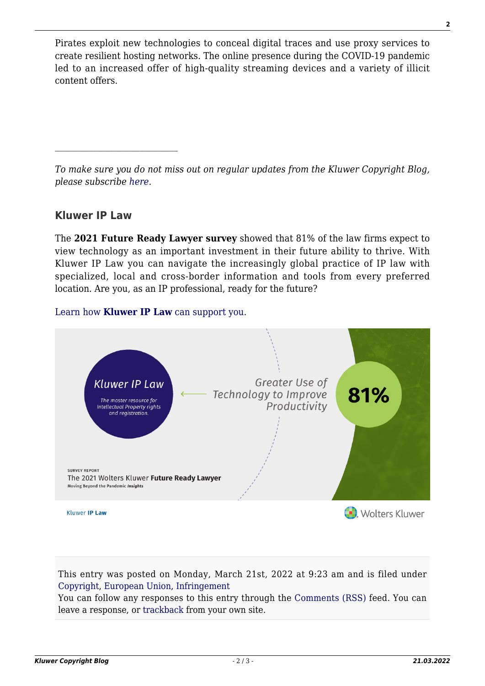Pirates exploit new technologies to conceal digital traces and use proxy services to create resilient hosting networks. The online presence during the COVID-19 pandemic led to an increased offer of high-quality streaming devices and a variety of illicit content offers.

*To make sure you do not miss out on regular updates from the Kluwer Copyright Blog, please subscribe [here.](http://copyrightblog.kluweriplaw.com/newsletter)*

## **Kluwer IP Law**

The **2021 Future Ready Lawyer survey** showed that 81% of the law firms expect to view technology as an important investment in their future ability to thrive. With Kluwer IP Law you can navigate the increasingly global practice of IP law with specialized, local and cross-border information and tools from every preferred location. Are you, as an IP professional, ready for the future?

## [Learn how](https://www.wolterskluwer.com/en/solutions/kluweriplaw?utm_source=copyrightnblog&utm_medium=articleCTA&utm_campaign=article-banner) **[Kluwer IP Law](https://www.wolterskluwer.com/en/solutions/kluweriplaw?utm_source=copyrightnblog&utm_medium=articleCTA&utm_campaign=article-banner)** [can support you.](https://www.wolterskluwer.com/en/solutions/kluweriplaw?utm_source=copyrightnblog&utm_medium=articleCTA&utm_campaign=article-banner)



This entry was posted on Monday, March 21st, 2022 at 9:23 am and is filed under [Copyright,](http://copyrightblog.kluweriplaw.com/category/copyright/) [European Union,](http://copyrightblog.kluweriplaw.com/category/jurisdiction-2/european-union/) [Infringement](http://copyrightblog.kluweriplaw.com/category/infringement/)

You can follow any responses to this entry through the [Comments \(RSS\)](http://copyrightblog.kluweriplaw.com/comments/feed/) feed. You can leave a response, or [trackback](http://copyrightblog.kluweriplaw.com/2022/03/21/report-indicates-distribution-of-counterfeit-and-pirated-goods-on-the-rise-in-the-eu/trackback/) from your own site.